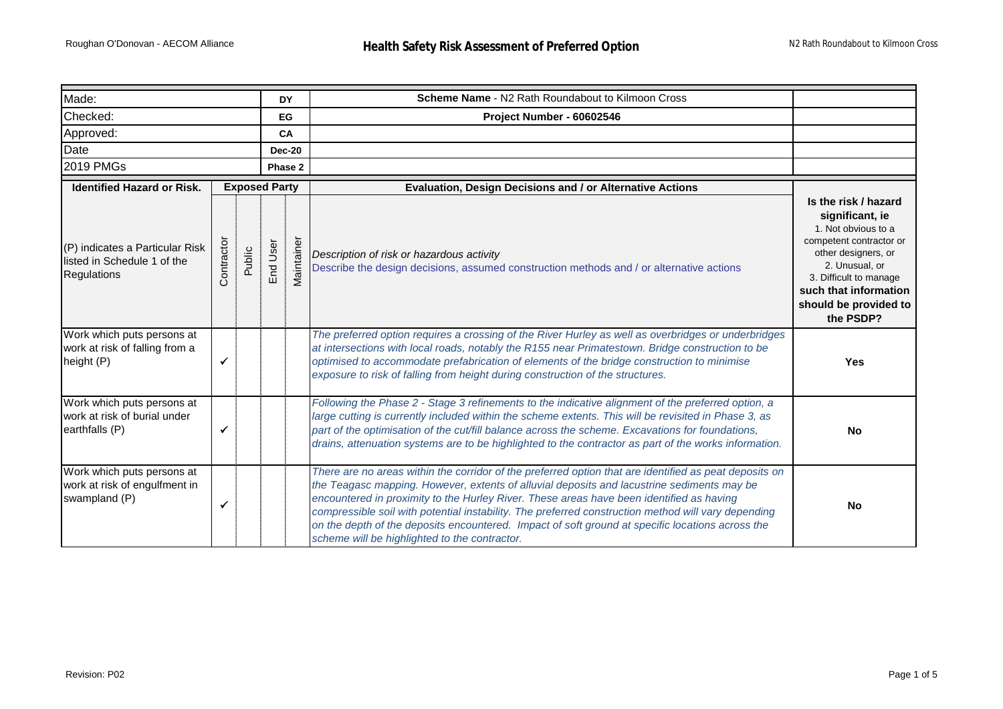| Made:                                                                         |              |        |               | <b>DY</b>  | Scheme Name - N2 Rath Roundabout to Kilmoon Cross                                                                                                                                                                                                                                                                                                                                                                                                                                                                                                            |                                                                                                                                                                                                                             |
|-------------------------------------------------------------------------------|--------------|--------|---------------|------------|--------------------------------------------------------------------------------------------------------------------------------------------------------------------------------------------------------------------------------------------------------------------------------------------------------------------------------------------------------------------------------------------------------------------------------------------------------------------------------------------------------------------------------------------------------------|-----------------------------------------------------------------------------------------------------------------------------------------------------------------------------------------------------------------------------|
| Checked:                                                                      |              |        |               | EG         | Project Number - 60602546                                                                                                                                                                                                                                                                                                                                                                                                                                                                                                                                    |                                                                                                                                                                                                                             |
| Approved:<br>CA                                                               |              |        |               |            |                                                                                                                                                                                                                                                                                                                                                                                                                                                                                                                                                              |                                                                                                                                                                                                                             |
| Date                                                                          |              |        | <b>Dec-20</b> |            |                                                                                                                                                                                                                                                                                                                                                                                                                                                                                                                                                              |                                                                                                                                                                                                                             |
| <b>2019 PMGs</b>                                                              |              |        | Phase 2       |            |                                                                                                                                                                                                                                                                                                                                                                                                                                                                                                                                                              |                                                                                                                                                                                                                             |
| <b>Exposed Party</b><br><b>Identified Hazard or Risk.</b>                     |              |        |               |            | Evaluation, Design Decisions and / or Alternative Actions                                                                                                                                                                                                                                                                                                                                                                                                                                                                                                    |                                                                                                                                                                                                                             |
| (P) indicates a Particular Risk<br>listed in Schedule 1 of the<br>Regulations | Contractor   | Public | End User      | Maintainer | Description of risk or hazardous activity<br>Describe the design decisions, assumed construction methods and / or alternative actions                                                                                                                                                                                                                                                                                                                                                                                                                        | Is the risk / hazard<br>significant, ie<br>1. Not obvious to a<br>competent contractor or<br>other designers, or<br>2. Unusual, or<br>3. Difficult to manage<br>such that information<br>should be provided to<br>the PSDP? |
| Work which puts persons at<br>work at risk of falling from a<br>height (P)    | ✓            |        |               |            | The preferred option requires a crossing of the River Hurley as well as overbridges or underbridges<br>at intersections with local roads, notably the R155 near Primatestown. Bridge construction to be<br>optimised to accommodate prefabrication of elements of the bridge construction to minimise<br>exposure to risk of falling from height during construction of the structures.                                                                                                                                                                      | <b>Yes</b>                                                                                                                                                                                                                  |
| Work which puts persons at<br>work at risk of burial under<br>earthfalls (P)  | $\checkmark$ |        |               |            | Following the Phase 2 - Stage 3 refinements to the indicative alignment of the preferred option, a<br>large cutting is currently included within the scheme extents. This will be revisited in Phase 3, as<br>part of the optimisation of the cut/fill balance across the scheme. Excavations for foundations,<br>drains, attenuation systems are to be highlighted to the contractor as part of the works information.                                                                                                                                      | No                                                                                                                                                                                                                          |
| Work which puts persons at<br>work at risk of engulfment in<br>swampland (P)  | ✓            |        |               |            | There are no areas within the corridor of the preferred option that are identified as peat deposits on<br>the Teagasc mapping. However, extents of alluvial deposits and lacustrine sediments may be<br>encountered in proximity to the Hurley River. These areas have been identified as having<br>compressible soil with potential instability. The preferred construction method will vary depending<br>on the depth of the deposits encountered. Impact of soft ground at specific locations across the<br>scheme will be highlighted to the contractor. | <b>No</b>                                                                                                                                                                                                                   |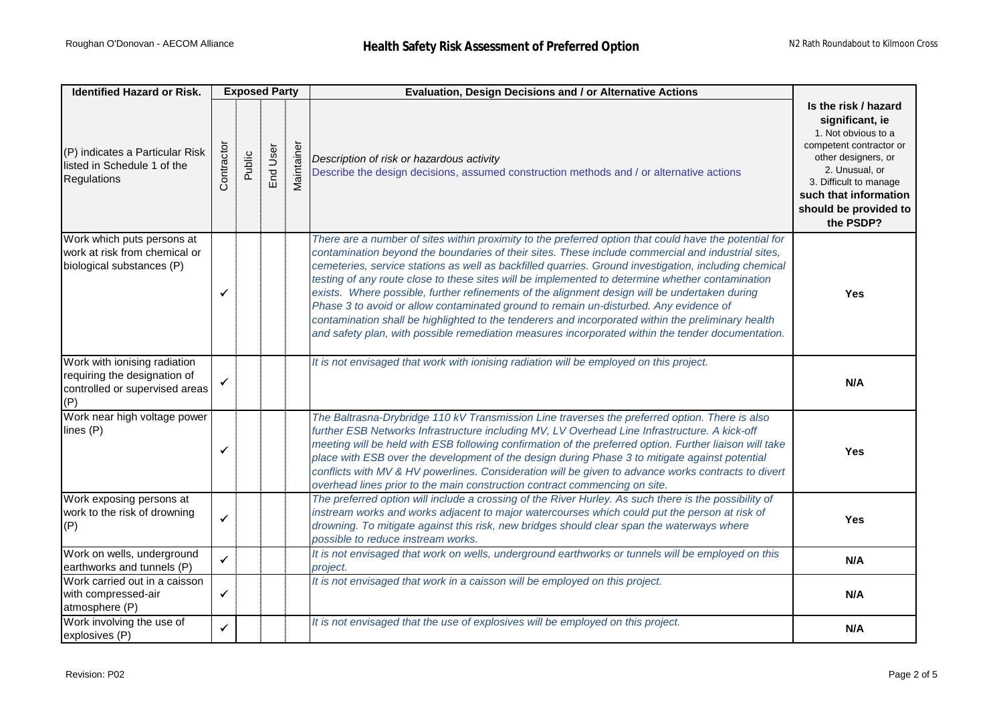| <b>Identified Hazard or Risk.</b>                                                                     | <b>Exposed Party</b> |        |          |                                           | Evaluation, Design Decisions and / or Alternative Actions                                                                                                                                                                                                                                                                                                                                                                                                                                                                                                                                                                                                                                                                                                                                                                      |                                                                                                                                                                                                                             |
|-------------------------------------------------------------------------------------------------------|----------------------|--------|----------|-------------------------------------------|--------------------------------------------------------------------------------------------------------------------------------------------------------------------------------------------------------------------------------------------------------------------------------------------------------------------------------------------------------------------------------------------------------------------------------------------------------------------------------------------------------------------------------------------------------------------------------------------------------------------------------------------------------------------------------------------------------------------------------------------------------------------------------------------------------------------------------|-----------------------------------------------------------------------------------------------------------------------------------------------------------------------------------------------------------------------------|
| (P) indicates a Particular Risk<br>listed in Schedule 1 of the<br>Regulations                         | Contractor           | Public | End User | $\overleftarrow{\mathbf{e}}$<br>Maintaine | Description of risk or hazardous activity<br>Describe the design decisions, assumed construction methods and / or alternative actions                                                                                                                                                                                                                                                                                                                                                                                                                                                                                                                                                                                                                                                                                          | Is the risk / hazard<br>significant, ie<br>1. Not obvious to a<br>competent contractor or<br>other designers, or<br>2. Unusual, or<br>3. Difficult to manage<br>such that information<br>should be provided to<br>the PSDP? |
| Work which puts persons at<br>work at risk from chemical or<br>biological substances (P)              | $\checkmark$         |        |          |                                           | There are a number of sites within proximity to the preferred option that could have the potential for<br>contamination beyond the boundaries of their sites. These include commercial and industrial sites,<br>cemeteries, service stations as well as backfilled quarries. Ground investigation, including chemical<br>testing of any route close to these sites will be implemented to determine whether contamination<br>exists. Where possible, further refinements of the alignment design will be undertaken during<br>Phase 3 to avoid or allow contaminated ground to remain un-disturbed. Any evidence of<br>contamination shall be highlighted to the tenderers and incorporated within the preliminary health<br>and safety plan, with possible remediation measures incorporated within the tender documentation. | <b>Yes</b>                                                                                                                                                                                                                  |
| Work with ionising radiation<br>requiring the designation of<br>controlled or supervised areas<br>(P) | $\checkmark$         |        |          |                                           | It is not envisaged that work with ionising radiation will be employed on this project.                                                                                                                                                                                                                                                                                                                                                                                                                                                                                                                                                                                                                                                                                                                                        | N/A                                                                                                                                                                                                                         |
| Work near high voltage power<br>lines (P)                                                             | ✓                    |        |          |                                           | The Baltrasna-Drybridge 110 kV Transmission Line traverses the preferred option. There is also<br>further ESB Networks Infrastructure including MV, LV Overhead Line Infrastructure. A kick-off<br>meeting will be held with ESB following confirmation of the preferred option. Further liaison will take<br>place with ESB over the development of the design during Phase 3 to mitigate against potential<br>conflicts with MV & HV powerlines. Consideration will be given to advance works contracts to divert<br>overhead lines prior to the main construction contract commencing on site.                                                                                                                                                                                                                              | <b>Yes</b>                                                                                                                                                                                                                  |
| Work exposing persons at<br>work to the risk of drowning<br>(P)                                       | $\checkmark$         |        |          |                                           | The preferred option will include a crossing of the River Hurley. As such there is the possibility of<br>instream works and works adjacent to major watercourses which could put the person at risk of<br>drowning. To mitigate against this risk, new bridges should clear span the waterways where<br>possible to reduce instream works.                                                                                                                                                                                                                                                                                                                                                                                                                                                                                     | <b>Yes</b>                                                                                                                                                                                                                  |
| Work on wells, underground<br>earthworks and tunnels (P)                                              | $\checkmark$         |        |          |                                           | It is not envisaged that work on wells, underground earthworks or tunnels will be employed on this<br>project.                                                                                                                                                                                                                                                                                                                                                                                                                                                                                                                                                                                                                                                                                                                 | N/A                                                                                                                                                                                                                         |
| Work carried out in a caisson<br>with compressed-air<br>atmosphere (P)                                | $\checkmark$         |        |          |                                           | It is not envisaged that work in a caisson will be employed on this project.                                                                                                                                                                                                                                                                                                                                                                                                                                                                                                                                                                                                                                                                                                                                                   | N/A                                                                                                                                                                                                                         |
| Work involving the use of<br>explosives (P)                                                           | $\checkmark$         |        |          |                                           | It is not envisaged that the use of explosives will be employed on this project.                                                                                                                                                                                                                                                                                                                                                                                                                                                                                                                                                                                                                                                                                                                                               | N/A                                                                                                                                                                                                                         |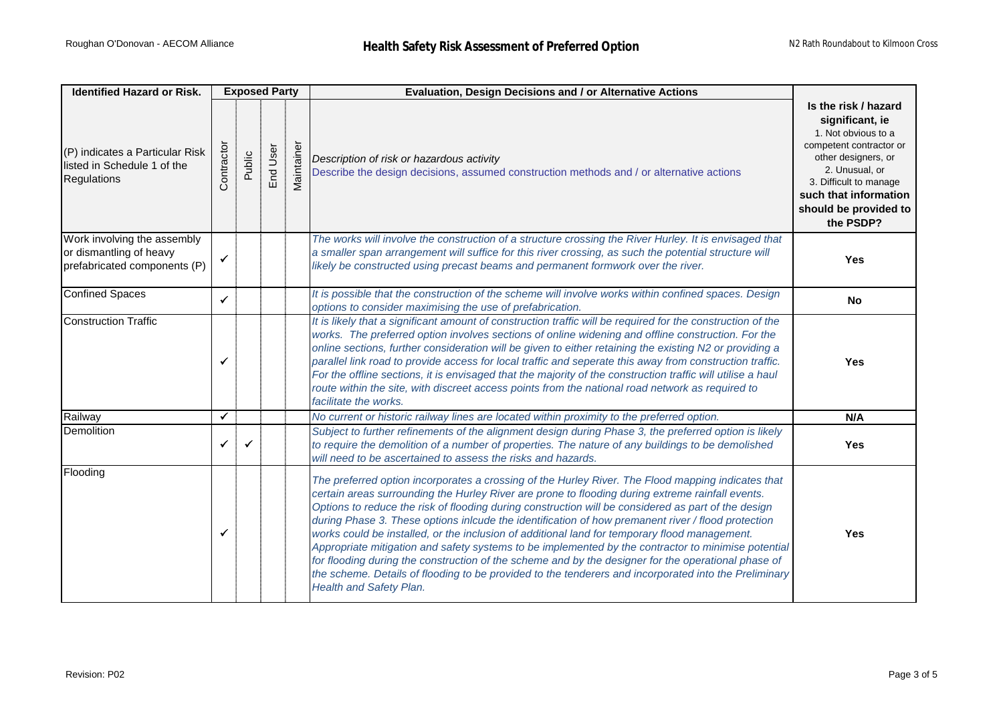| <b>Identified Hazard or Risk.</b>                                                      |              | <b>Exposed Party</b> |          |            | Evaluation, Design Decisions and / or Alternative Actions                                                                                                                                                                                                                                                                                                                                                                                                                                                                                                                                                                                                                                                                                                                                                                                                                     |                                                                                                                                                                                                                             |
|----------------------------------------------------------------------------------------|--------------|----------------------|----------|------------|-------------------------------------------------------------------------------------------------------------------------------------------------------------------------------------------------------------------------------------------------------------------------------------------------------------------------------------------------------------------------------------------------------------------------------------------------------------------------------------------------------------------------------------------------------------------------------------------------------------------------------------------------------------------------------------------------------------------------------------------------------------------------------------------------------------------------------------------------------------------------------|-----------------------------------------------------------------------------------------------------------------------------------------------------------------------------------------------------------------------------|
| (P) indicates a Particular Risk<br>listed in Schedule 1 of the<br>Regulations          | Contractor   | Public               | End User | Maintainer | Description of risk or hazardous activity<br>Describe the design decisions, assumed construction methods and / or alternative actions                                                                                                                                                                                                                                                                                                                                                                                                                                                                                                                                                                                                                                                                                                                                         | Is the risk / hazard<br>significant, ie<br>1. Not obvious to a<br>competent contractor or<br>other designers, or<br>2. Unusual, or<br>3. Difficult to manage<br>such that information<br>should be provided to<br>the PSDP? |
| Work involving the assembly<br>or dismantling of heavy<br>prefabricated components (P) | $\checkmark$ |                      |          |            | The works will involve the construction of a structure crossing the River Hurley. It is envisaged that<br>a smaller span arrangement will suffice for this river crossing, as such the potential structure will<br>likely be constructed using precast beams and permanent formwork over the river.                                                                                                                                                                                                                                                                                                                                                                                                                                                                                                                                                                           | <b>Yes</b>                                                                                                                                                                                                                  |
| <b>Confined Spaces</b>                                                                 | $\checkmark$ |                      |          |            | It is possible that the construction of the scheme will involve works within confined spaces. Design<br>options to consider maximising the use of prefabrication.                                                                                                                                                                                                                                                                                                                                                                                                                                                                                                                                                                                                                                                                                                             | <b>No</b>                                                                                                                                                                                                                   |
| <b>Construction Traffic</b>                                                            | ✓            |                      |          |            | It is likely that a significant amount of construction traffic will be required for the construction of the<br>works. The preferred option involves sections of online widening and offline construction. For the<br>online sections, further consideration will be given to either retaining the existing N2 or providing a<br>parallel link road to provide access for local traffic and seperate this away from construction traffic.<br>For the offline sections, it is envisaged that the majority of the construction traffic will utilise a haul<br>route within the site, with discreet access points from the national road network as required to<br>facilitate the works.                                                                                                                                                                                          | <b>Yes</b>                                                                                                                                                                                                                  |
| Railway                                                                                | $\checkmark$ |                      |          |            | No current or historic railway lines are located within proximity to the preferred option.                                                                                                                                                                                                                                                                                                                                                                                                                                                                                                                                                                                                                                                                                                                                                                                    | N/A                                                                                                                                                                                                                         |
| Demolition                                                                             | ✓            | ✓                    |          |            | Subject to further refinements of the alignment design during Phase 3, the preferred option is likely<br>to require the demolition of a number of properties. The nature of any buildings to be demolished<br>will need to be ascertained to assess the risks and hazards.                                                                                                                                                                                                                                                                                                                                                                                                                                                                                                                                                                                                    | Yes                                                                                                                                                                                                                         |
| Flooding                                                                               | ✓            |                      |          |            | The preferred option incorporates a crossing of the Hurley River. The Flood mapping indicates that<br>certain areas surrounding the Hurley River are prone to flooding during extreme rainfall events.<br>Options to reduce the risk of flooding during construction will be considered as part of the design<br>during Phase 3. These options inlcude the identification of how premanent river / flood protection<br>works could be installed, or the inclusion of additional land for temporary flood management.<br>Appropriate mitigation and safety systems to be implemented by the contractor to minimise potential<br>for flooding during the construction of the scheme and by the designer for the operational phase of<br>the scheme. Details of flooding to be provided to the tenderers and incorporated into the Preliminary<br><b>Health and Safety Plan.</b> | <b>Yes</b>                                                                                                                                                                                                                  |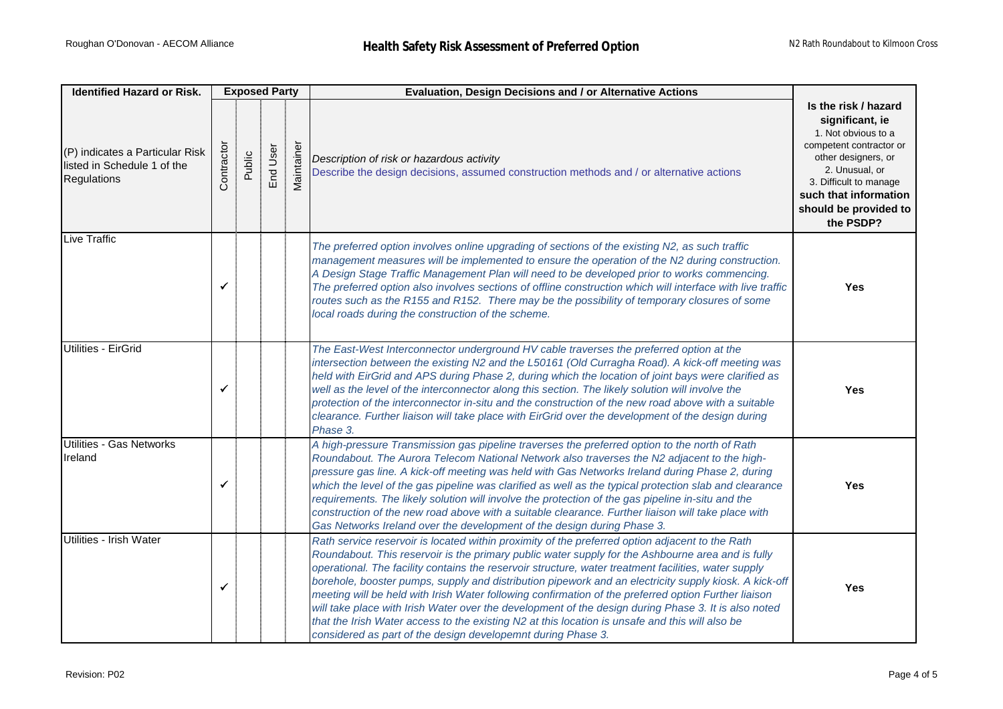| <b>Identified Hazard or Risk.</b>                                                    |            |        | <b>Exposed Party</b> |            | Evaluation, Design Decisions and / or Alternative Actions                                                                                                                                                                                                                                                                                                                                                                                                                                                                                                                                                                                                                                                                                                                                                |                                                                                                                                                                                                                             |
|--------------------------------------------------------------------------------------|------------|--------|----------------------|------------|----------------------------------------------------------------------------------------------------------------------------------------------------------------------------------------------------------------------------------------------------------------------------------------------------------------------------------------------------------------------------------------------------------------------------------------------------------------------------------------------------------------------------------------------------------------------------------------------------------------------------------------------------------------------------------------------------------------------------------------------------------------------------------------------------------|-----------------------------------------------------------------------------------------------------------------------------------------------------------------------------------------------------------------------------|
| (P) indicates a Particular Risk<br>listed in Schedule 1 of the<br><b>Regulations</b> | Contractor | Public | End User             | Maintainer | Description of risk or hazardous activity<br>Describe the design decisions, assumed construction methods and / or alternative actions                                                                                                                                                                                                                                                                                                                                                                                                                                                                                                                                                                                                                                                                    | Is the risk / hazard<br>significant, ie<br>1. Not obvious to a<br>competent contractor or<br>other designers, or<br>2. Unusual, or<br>3. Difficult to manage<br>such that information<br>should be provided to<br>the PSDP? |
| Live Traffic                                                                         | √          |        |                      |            | The preferred option involves online upgrading of sections of the existing N2, as such traffic<br>management measures will be implemented to ensure the operation of the N2 during construction.<br>A Design Stage Traffic Management Plan will need to be developed prior to works commencing.<br>The preferred option also involves sections of offline construction which will interface with live traffic<br>routes such as the R155 and R152. There may be the possibility of temporary closures of some<br>local roads during the construction of the scheme.                                                                                                                                                                                                                                      | <b>Yes</b>                                                                                                                                                                                                                  |
| <b>Utilities - EirGrid</b>                                                           | ✓          |        |                      |            | The East-West Interconnector underground HV cable traverses the preferred option at the<br>intersection between the existing N2 and the L50161 (Old Curragha Road). A kick-off meeting was<br>held with EirGrid and APS during Phase 2, during which the location of joint bays were clarified as<br>well as the level of the interconnector along this section. The likely solution will involve the<br>protection of the interconnector in-situ and the construction of the new road above with a suitable<br>clearance. Further liaison will take place with EirGrid over the development of the design during<br>Phase 3.                                                                                                                                                                            | <b>Yes</b>                                                                                                                                                                                                                  |
| Utilities - Gas Networks<br>Ireland                                                  | ✓          |        |                      |            | A high-pressure Transmission gas pipeline traverses the preferred option to the north of Rath<br>Roundabout. The Aurora Telecom National Network also traverses the N2 adjacent to the high-<br>pressure gas line. A kick-off meeting was held with Gas Networks Ireland during Phase 2, during<br>which the level of the gas pipeline was clarified as well as the typical protection slab and clearance<br>requirements. The likely solution will involve the protection of the gas pipeline in-situ and the<br>construction of the new road above with a suitable clearance. Further liaison will take place with<br>Gas Networks Ireland over the development of the design during Phase 3.                                                                                                          | <b>Yes</b>                                                                                                                                                                                                                  |
| Utilities - Irish Water                                                              | ✓          |        |                      |            | Rath service reservoir is located within proximity of the preferred option adjacent to the Rath<br>Roundabout. This reservoir is the primary public water supply for the Ashbourne area and is fully<br>operational. The facility contains the reservoir structure, water treatment facilities, water supply<br>borehole, booster pumps, supply and distribution pipework and an electricity supply kiosk. A kick-off<br>meeting will be held with Irish Water following confirmation of the preferred option Further liaison<br>will take place with Irish Water over the development of the design during Phase 3. It is also noted<br>that the Irish Water access to the existing N2 at this location is unsafe and this will also be<br>considered as part of the design developemnt during Phase 3. | <b>Yes</b>                                                                                                                                                                                                                  |